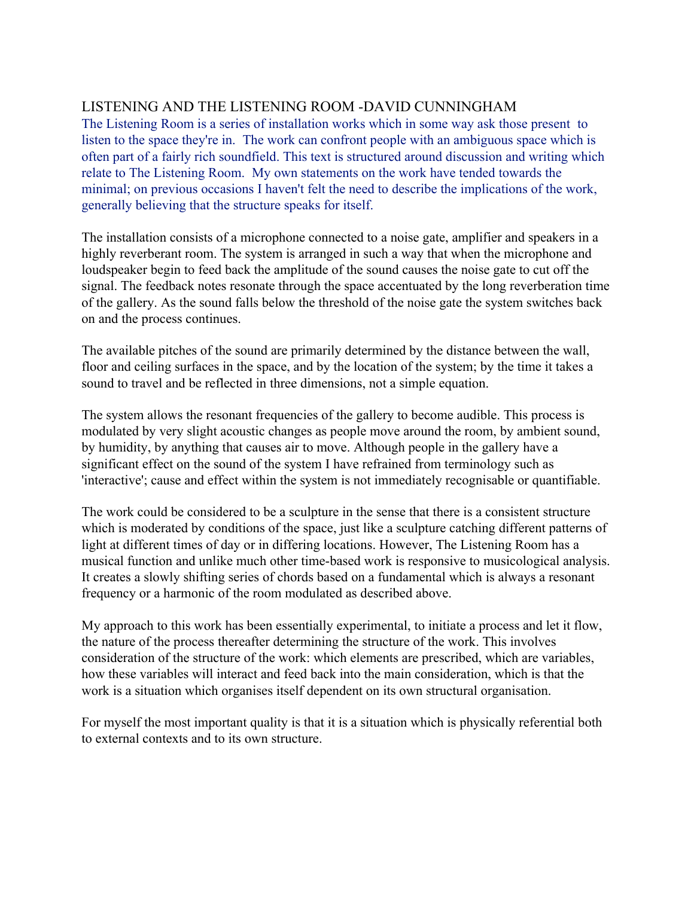# LISTENING AND THE LISTENING ROOM -DAVID CUNNINGHAM

The Listening Room is a series of installation works which in some way ask those present to listen to the space they're in. The work can confront people with an ambiguous space which is often part of a fairly rich soundfield. This text is structured around discussion and writing which relate to The Listening Room. My own statements on the work have tended towards the minimal; on previous occasions I haven't felt the need to describe the implications of the work, generally believing that the structure speaks for itself.

The installation consists of a microphone connected to a noise gate, amplifier and speakers in a highly reverberant room. The system is arranged in such a way that when the microphone and loudspeaker begin to feed back the amplitude of the sound causes the noise gate to cut off the signal. The feedback notes resonate through the space accentuated by the long reverberation time of the gallery. As the sound falls below the threshold of the noise gate the system switches back on and the process continues.

The available pitches of the sound are primarily determined by the distance between the wall, floor and ceiling surfaces in the space, and by the location of the system; by the time it takes a sound to travel and be reflected in three dimensions, not a simple equation.

The system allows the resonant frequencies of the gallery to become audible. This process is modulated by very slight acoustic changes as people move around the room, by ambient sound, by humidity, by anything that causes air to move. Although people in the gallery have a significant effect on the sound of the system I have refrained from terminology such as 'interactive'; cause and effect within the system is not immediately recognisable or quantifiable.

The work could be considered to be a sculpture in the sense that there is a consistent structure which is moderated by conditions of the space, just like a sculpture catching different patterns of light at different times of day or in differing locations. However, The Listening Room has a musical function and unlike much other time-based work is responsive to musicological analysis. It creates a slowly shifting series of chords based on a fundamental which is always a resonant frequency or a harmonic of the room modulated as described above.

My approach to this work has been essentially experimental, to initiate a process and let it flow, the nature of the process thereafter determining the structure of the work. This involves consideration of the structure of the work: which elements are prescribed, which are variables, how these variables will interact and feed back into the main consideration, which is that the work is a situation which organises itself dependent on its own structural organisation.

For myself the most important quality is that it is a situation which is physically referential both to external contexts and to its own structure.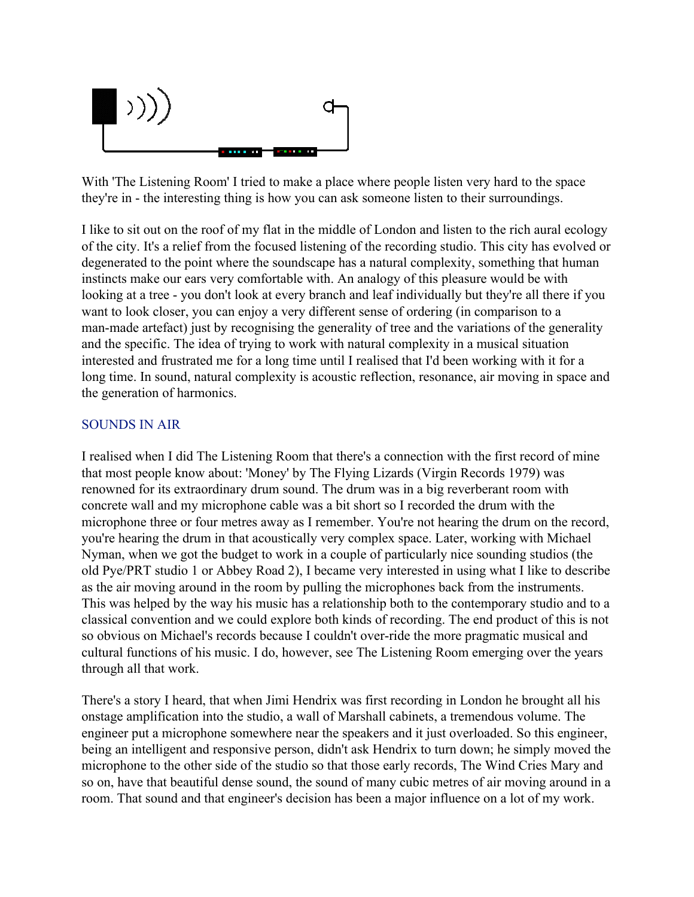

With 'The Listening Room' I tried to make a place where people listen very hard to the space they're in - the interesting thing is how you can ask someone listen to their surroundings.

I like to sit out on the roof of my flat in the middle of London and listen to the rich aural ecology of the city. It's a relief from the focused listening of the recording studio. This city has evolved or degenerated to the point where the soundscape has a natural complexity, something that human instincts make our ears very comfortable with. An analogy of this pleasure would be with looking at a tree - you don't look at every branch and leaf individually but they're all there if you want to look closer, you can enjoy a very different sense of ordering (in comparison to a man-made artefact) just by recognising the generality of tree and the variations of the generality and the specific. The idea of trying to work with natural complexity in a musical situation interested and frustrated me for a long time until I realised that I'd been working with it for a long time. In sound, natural complexity is acoustic reflection, resonance, air moving in space and the generation of harmonics.

#### SOUNDS IN AIR

I realised when I did The Listening Room that there's a connection with the first record of mine that most people know about: 'Money' by The Flying Lizards (Virgin Records 1979) was renowned for its extraordinary drum sound. The drum was in a big reverberant room with concrete wall and my microphone cable was a bit short so I recorded the drum with the microphone three or four metres away as I remember. You're not hearing the drum on the record, you're hearing the drum in that acoustically very complex space. Later, working with Michael Nyman, when we got the budget to work in a couple of particularly nice sounding studios (the old Pye/PRT studio 1 or Abbey Road 2), I became very interested in using what I like to describe as the air moving around in the room by pulling the microphones back from the instruments. This was helped by the way his music has a relationship both to the contemporary studio and to a classical convention and we could explore both kinds of recording. The end product of this is not so obvious on Michael's records because I couldn't over-ride the more pragmatic musical and cultural functions of his music. I do, however, see The Listening Room emerging over the years through all that work.

There's a story I heard, that when Jimi Hendrix was first recording in London he brought all his onstage amplification into the studio, a wall of Marshall cabinets, a tremendous volume. The engineer put a microphone somewhere near the speakers and it just overloaded. So this engineer, being an intelligent and responsive person, didn't ask Hendrix to turn down; he simply moved the microphone to the other side of the studio so that those early records, The Wind Cries Mary and so on, have that beautiful dense sound, the sound of many cubic metres of air moving around in a room. That sound and that engineer's decision has been a major influence on a lot of my work.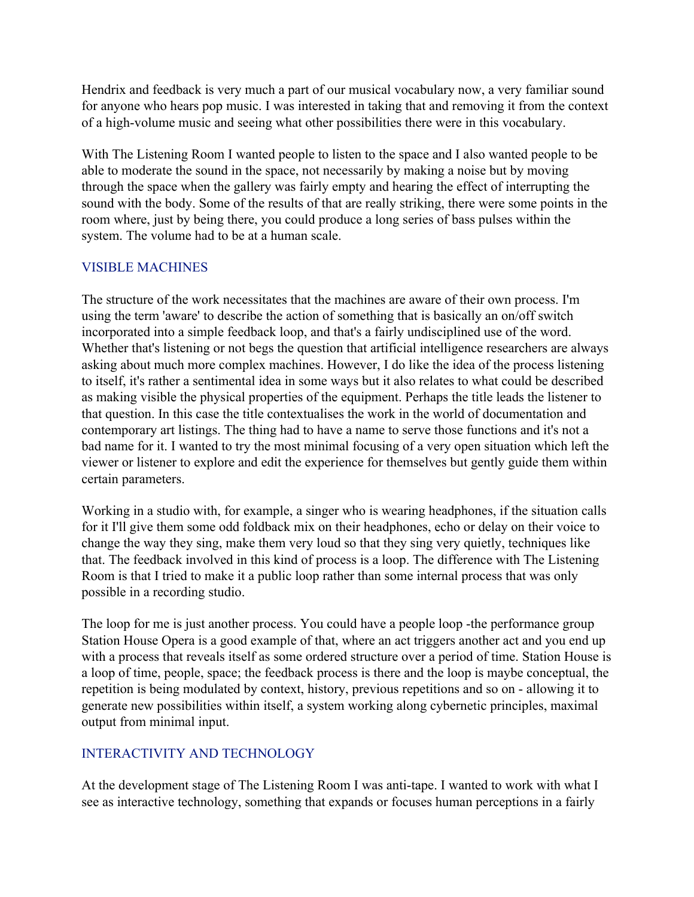Hendrix and feedback is very much a part of our musical vocabulary now, a very familiar sound for anyone who hears pop music. I was interested in taking that and removing it from the context of a high-volume music and seeing what other possibilities there were in this vocabulary.

With The Listening Room I wanted people to listen to the space and I also wanted people to be able to moderate the sound in the space, not necessarily by making a noise but by moving through the space when the gallery was fairly empty and hearing the effect of interrupting the sound with the body. Some of the results of that are really striking, there were some points in the room where, just by being there, you could produce a long series of bass pulses within the system. The volume had to be at a human scale.

## VISIBLE MACHINES

The structure of the work necessitates that the machines are aware of their own process. I'm using the term 'aware' to describe the action of something that is basically an on/off switch incorporated into a simple feedback loop, and that's a fairly undisciplined use of the word. Whether that's listening or not begs the question that artificial intelligence researchers are always asking about much more complex machines. However, I do like the idea of the process listening to itself, it's rather a sentimental idea in some ways but it also relates to what could be described as making visible the physical properties of the equipment. Perhaps the title leads the listener to that question. In this case the title contextualises the work in the world of documentation and contemporary art listings. The thing had to have a name to serve those functions and it's not a bad name for it. I wanted to try the most minimal focusing of a very open situation which left the viewer or listener to explore and edit the experience for themselves but gently guide them within certain parameters.

Working in a studio with, for example, a singer who is wearing headphones, if the situation calls for it I'll give them some odd foldback mix on their headphones, echo or delay on their voice to change the way they sing, make them very loud so that they sing very quietly, techniques like that. The feedback involved in this kind of process is a loop. The difference with The Listening Room is that I tried to make it a public loop rather than some internal process that was only possible in a recording studio.

The loop for me is just another process. You could have a people loop -the performance group Station House Opera is a good example of that, where an act triggers another act and you end up with a process that reveals itself as some ordered structure over a period of time. Station House is a loop of time, people, space; the feedback process is there and the loop is maybe conceptual, the repetition is being modulated by context, history, previous repetitions and so on - allowing it to generate new possibilities within itself, a system working along cybernetic principles, maximal output from minimal input.

## INTERACTIVITY AND TECHNOLOGY

At the development stage of The Listening Room I was anti-tape. I wanted to work with what I see as interactive technology, something that expands or focuses human perceptions in a fairly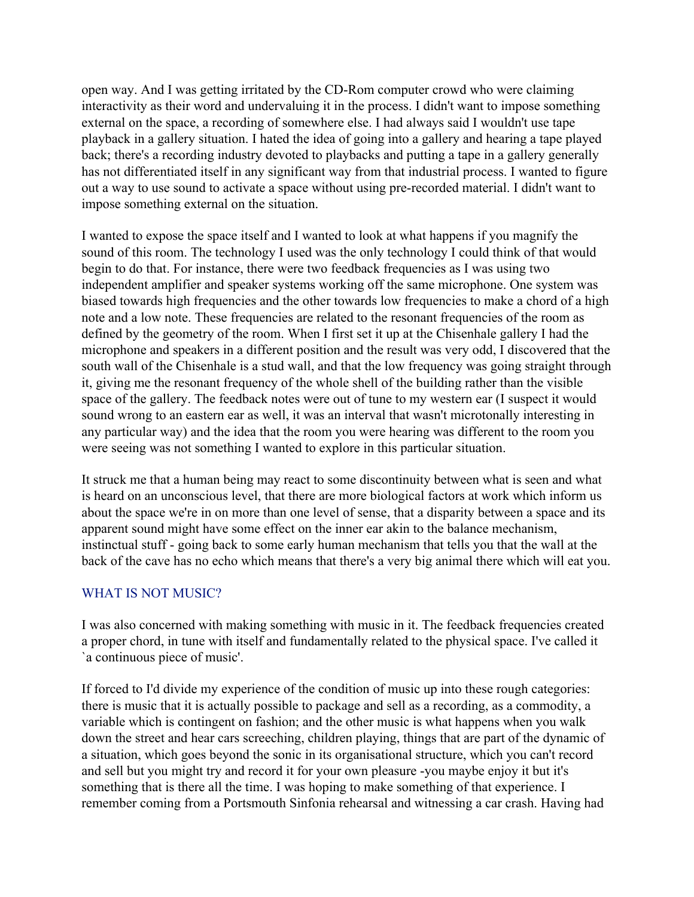open way. And I was getting irritated by the CD-Rom computer crowd who were claiming interactivity as their word and undervaluing it in the process. I didn't want to impose something external on the space, a recording of somewhere else. I had always said I wouldn't use tape playback in a gallery situation. I hated the idea of going into a gallery and hearing a tape played back; there's a recording industry devoted to playbacks and putting a tape in a gallery generally has not differentiated itself in any significant way from that industrial process. I wanted to figure out a way to use sound to activate a space without using pre-recorded material. I didn't want to impose something external on the situation.

I wanted to expose the space itself and I wanted to look at what happens if you magnify the sound of this room. The technology I used was the only technology I could think of that would begin to do that. For instance, there were two feedback frequencies as I was using two independent amplifier and speaker systems working off the same microphone. One system was biased towards high frequencies and the other towards low frequencies to make a chord of a high note and a low note. These frequencies are related to the resonant frequencies of the room as defined by the geometry of the room. When I first set it up at the Chisenhale gallery I had the microphone and speakers in a different position and the result was very odd, I discovered that the south wall of the Chisenhale is a stud wall, and that the low frequency was going straight through it, giving me the resonant frequency of the whole shell of the building rather than the visible space of the gallery. The feedback notes were out of tune to my western ear (I suspect it would sound wrong to an eastern ear as well, it was an interval that wasn't microtonally interesting in any particular way) and the idea that the room you were hearing was different to the room you were seeing was not something I wanted to explore in this particular situation.

It struck me that a human being may react to some discontinuity between what is seen and what is heard on an unconscious level, that there are more biological factors at work which inform us about the space we're in on more than one level of sense, that a disparity between a space and its apparent sound might have some effect on the inner ear akin to the balance mechanism, instinctual stuff - going back to some early human mechanism that tells you that the wall at the back of the cave has no echo which means that there's a very big animal there which will eat you.

## WHAT IS NOT MUSIC?

I was also concerned with making something with music in it. The feedback frequencies created a proper chord, in tune with itself and fundamentally related to the physical space. I've called it `a continuous piece of music'.

If forced to I'd divide my experience of the condition of music up into these rough categories: there is music that it is actually possible to package and sell as a recording, as a commodity, a variable which is contingent on fashion; and the other music is what happens when you walk down the street and hear cars screeching, children playing, things that are part of the dynamic of a situation, which goes beyond the sonic in its organisational structure, which you can't record and sell but you might try and record it for your own pleasure -you maybe enjoy it but it's something that is there all the time. I was hoping to make something of that experience. I remember coming from a Portsmouth Sinfonia rehearsal and witnessing a car crash. Having had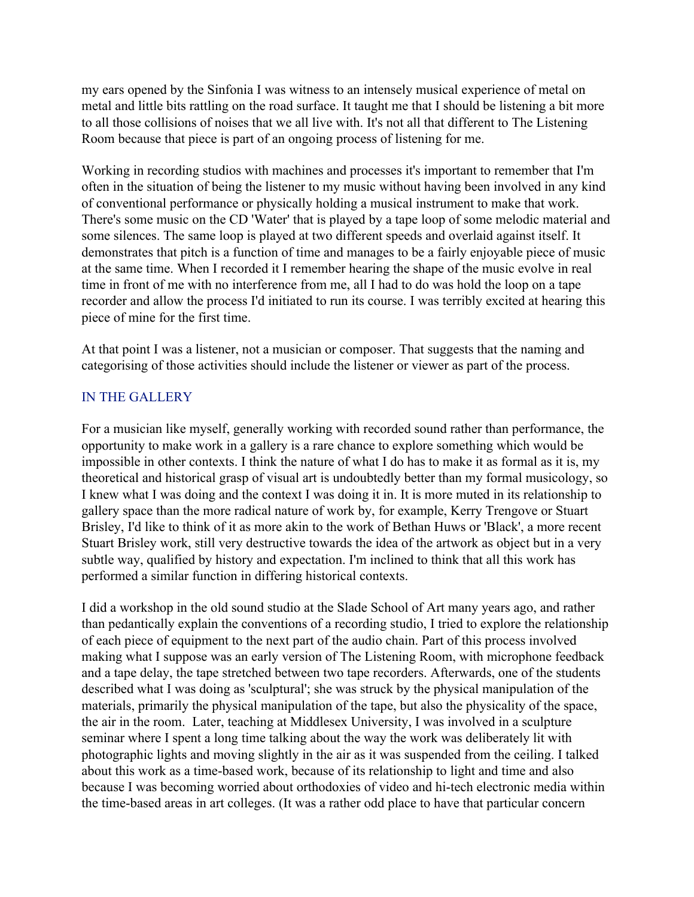my ears opened by the Sinfonia I was witness to an intensely musical experience of metal on metal and little bits rattling on the road surface. It taught me that I should be listening a bit more to all those collisions of noises that we all live with. It's not all that different to The Listening Room because that piece is part of an ongoing process of listening for me.

Working in recording studios with machines and processes it's important to remember that I'm often in the situation of being the listener to my music without having been involved in any kind of conventional performance or physically holding a musical instrument to make that work. There's some music on the CD 'Water' that is played by a tape loop of some melodic material and some silences. The same loop is played at two different speeds and overlaid against itself. It demonstrates that pitch is a function of time and manages to be a fairly enjoyable piece of music at the same time. When I recorded it I remember hearing the shape of the music evolve in real time in front of me with no interference from me, all I had to do was hold the loop on a tape recorder and allow the process I'd initiated to run its course. I was terribly excited at hearing this piece of mine for the first time.

At that point I was a listener, not a musician or composer. That suggests that the naming and categorising of those activities should include the listener or viewer as part of the process.

#### IN THE GALLERY

For a musician like myself, generally working with recorded sound rather than performance, the opportunity to make work in a gallery is a rare chance to explore something which would be impossible in other contexts. I think the nature of what I do has to make it as formal as it is, my theoretical and historical grasp of visual art is undoubtedly better than my formal musicology, so I knew what I was doing and the context I was doing it in. It is more muted in its relationship to gallery space than the more radical nature of work by, for example, Kerry Trengove or Stuart Brisley, I'd like to think of it as more akin to the work of Bethan Huws or 'Black', a more recent Stuart Brisley work, still very destructive towards the idea of the artwork as object but in a very subtle way, qualified by history and expectation. I'm inclined to think that all this work has performed a similar function in differing historical contexts.

I did a workshop in the old sound studio at the Slade School of Art many years ago, and rather than pedantically explain the conventions of a recording studio, I tried to explore the relationship of each piece of equipment to the next part of the audio chain. Part of this process involved making what I suppose was an early version of The Listening Room, with microphone feedback and a tape delay, the tape stretched between two tape recorders. Afterwards, one of the students described what I was doing as 'sculptural'; she was struck by the physical manipulation of the materials, primarily the physical manipulation of the tape, but also the physicality of the space, the air in the room. Later, teaching at Middlesex University, I was involved in a sculpture seminar where I spent a long time talking about the way the work was deliberately lit with photographic lights and moving slightly in the air as it was suspended from the ceiling. I talked about this work as a time-based work, because of its relationship to light and time and also because I was becoming worried about orthodoxies of video and hi-tech electronic media within the time-based areas in art colleges. (It was a rather odd place to have that particular concern